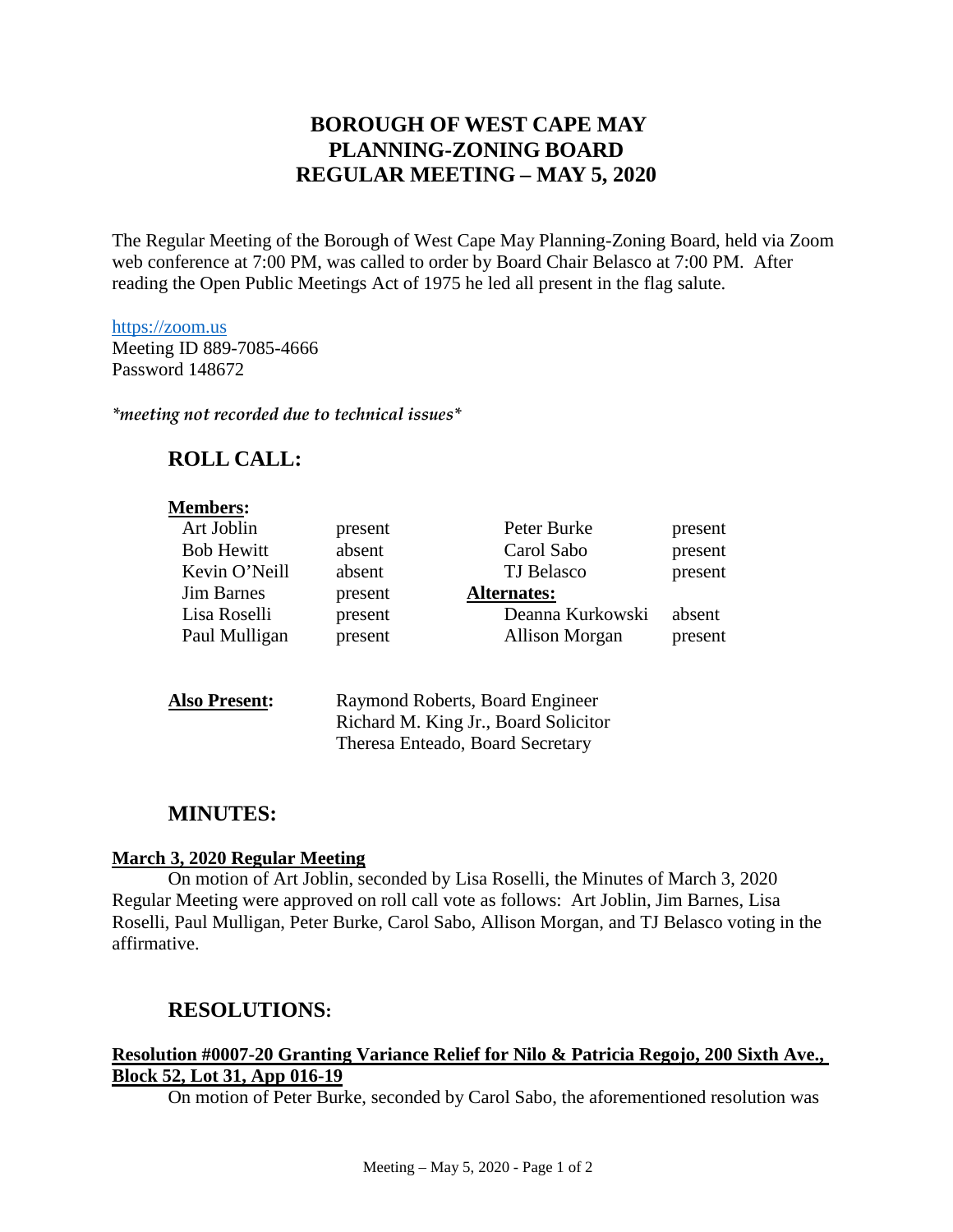# **BOROUGH OF WEST CAPE MAY PLANNING-ZONING BOARD REGULAR MEETING – MAY 5, 2020**

The Regular Meeting of the Borough of West Cape May Planning-Zoning Board, held via Zoom web conference at 7:00 PM, was called to order by Board Chair Belasco at 7:00 PM. After reading the Open Public Meetings Act of 1975 he led all present in the flag salute.

### [https://zoom.us](https://zoom.us/) Meeting ID 889-7085-4666 Password 148672

*\*meeting not recorded due to technical issues\**

# **ROLL CALL:**

### **Members:**

| Art Joblin        | present | Peter Burke        | present |
|-------------------|---------|--------------------|---------|
| <b>Bob Hewitt</b> | absent  | Carol Sabo         | present |
| Kevin O'Neill     | absent  | TJ Belasco         | present |
| <b>Jim Barnes</b> | present | <b>Alternates:</b> |         |
| Lisa Roselli      | present | Deanna Kurkowski   | absent  |
|                   |         |                    |         |
| Paul Mulligan     | present | Allison Morgan     | present |

| <b>Also Present:</b> | Raymond Roberts, Board Engineer      |
|----------------------|--------------------------------------|
|                      | Richard M. King Jr., Board Solicitor |
|                      | Theresa Enteado, Board Secretary     |

## **MINUTES:**

### **March 3, 2020 Regular Meeting**

On motion of Art Joblin, seconded by Lisa Roselli, the Minutes of March 3, 2020 Regular Meeting were approved on roll call vote as follows: Art Joblin, Jim Barnes, Lisa Roselli, Paul Mulligan, Peter Burke, Carol Sabo, Allison Morgan, and TJ Belasco voting in the affirmative.

## **RESOLUTIONS:**

### **Resolution #0007-20 Granting Variance Relief for Nilo & Patricia Regojo, 200 Sixth Ave., Block 52, Lot 31, App 016-19**

On motion of Peter Burke, seconded by Carol Sabo, the aforementioned resolution was